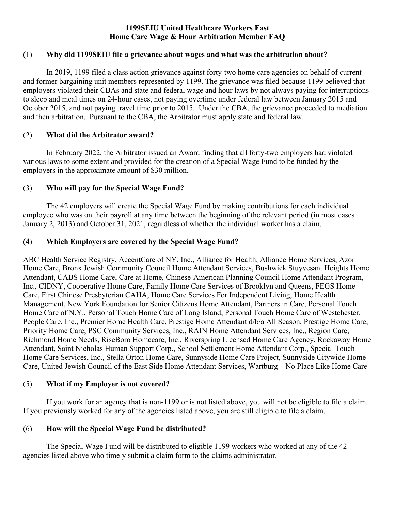### **1199SEIU United Healthcare Workers East Home Care Wage & Hour Arbitration Member FAQ**

### (1) **Why did 1199SEIU file a grievance about wages and what was the arbitration about?**

In 2019, 1199 filed a class action grievance against forty-two home care agencies on behalf of current and former bargaining unit members represented by 1199. The grievance was filed because 1199 believed that employers violated their CBAs and state and federal wage and hour laws by not always paying for interruptions to sleep and meal times on 24-hour cases, not paying overtime under federal law between January 2015 and October 2015, and not paying travel time prior to 2015. Under the CBA, the grievance proceeded to mediation and then arbitration. Pursuant to the CBA, the Arbitrator must apply state and federal law.

# (2) **What did the Arbitrator award?**

In February 2022, the Arbitrator issued an Award finding that all forty-two employers had violated various laws to some extent and provided for the creation of a Special Wage Fund to be funded by the employers in the approximate amount of \$30 million.

### (3) **Who will pay for the Special Wage Fund?**

The 42 employers will create the Special Wage Fund by making contributions for each individual employee who was on their payroll at any time between the beginning of the relevant period (in most cases January 2, 2013) and October 31, 2021, regardless of whether the individual worker has a claim.

### (4) **Which Employers are covered by the Special Wage Fund?**

ABC Health Service Registry, AccentCare of NY, Inc., Alliance for Health, Alliance Home Services, Azor Home Care, Bronx Jewish Community Council Home Attendant Services, Bushwick Stuyvesant Heights Home Attendant, CABS Home Care, Care at Home, Chinese-American Planning Council Home Attendant Program, Inc., CIDNY, Cooperative Home Care, Family Home Care Services of Brooklyn and Queens, FEGS Home Care, First Chinese Presbyterian CAHA, Home Care Services For Independent Living, Home Health Management, New York Foundation for Senior Citizens Home Attendant, Partners in Care, Personal Touch Home Care of N.Y., Personal Touch Home Care of Long Island, Personal Touch Home Care of Westchester, People Care, Inc., Premier Home Health Care, Prestige Home Attendant d/b/a All Season, Prestige Home Care, Priority Home Care, PSC Community Services, Inc., RAIN Home Attendant Services, Inc., Region Care, Richmond Home Needs, RiseBoro Homecare, Inc., Riverspring Licensed Home Care Agency, Rockaway Home Attendant, Saint Nicholas Human Support Corp., School Settlement Home Attendant Corp., Special Touch Home Care Services, Inc., Stella Orton Home Care, Sunnyside Home Care Project, Sunnyside Citywide Home Care, United Jewish Council of the East Side Home Attendant Services, Wartburg – No Place Like Home Care

#### (5) **What if my Employer is not covered?**

If you work for an agency that is non-1199 or is not listed above, you will not be eligible to file a claim. If you previously worked for any of the agencies listed above, you are still eligible to file a claim.

# (6) **How will the Special Wage Fund be distributed?**

 The Special Wage Fund will be distributed to eligible 1199 workers who worked at any of the 42 agencies listed above who timely submit a claim form to the claims administrator.